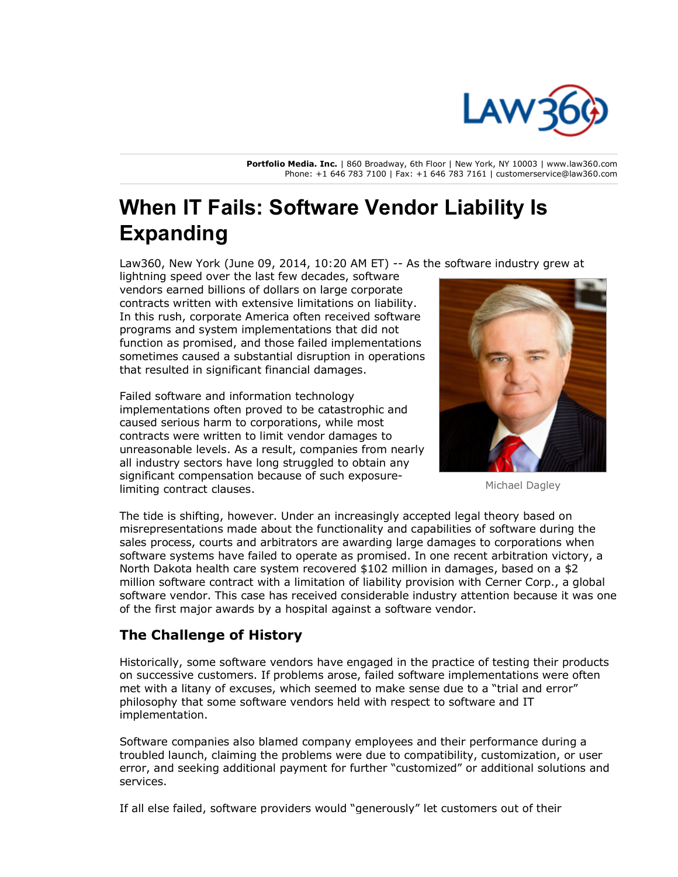

**Portfolio Media. Inc.** | 860 Broadway, 6th Floor | New York, NY 10003 | www.law360.com Phone: +1 646 783 7100 | Fax: +1 646 783 7161 | customerservice@law360.com

# **When IT Fails: Software Vendor Liability Is Expanding**

Law360, New York (June 09, 2014, 10:20 AM ET)  $-$  As the software industry grew at

lightning speed over the last few decades, software vendors earned billions of dollars on large corporate contracts written with extensive limitations on liability. In this rush, corporate America often received software programs and system implementations that did not function as promised, and those failed implementations sometimes caused a substantial disruption in operations that resulted in significant financial damages.

Failed software and information technology implementations often proved to be catastrophic and caused serious harm to corporations, while most contracts were written to limit vendor damages to unreasonable levels. As a result, companies from nearly all industry sectors have long struggled to obtain any significant compensation because of such exposurelimiting contract clauses.



Michael Dagley

The tide is shifting, however. Under an increasingly accepted legal theory based on misrepresentations made about the functionality and capabilities of software during the sales process, courts and arbitrators are awarding large damages to corporations when software systems have failed to operate as promised. In one recent arbitration victory, a North Dakota health care system recovered \$102 million in damages, based on a \$2 million software contract with a limitation of liability provision with Cerner Corp., a global software vendor. This case has received considerable industry attention because it was one of the first major awards by a hospital against a software vendor.

## **The Challenge of History**

Historically, some software vendors have engaged in the practice of testing their products on successive customers. If problems arose, failed software implementations were often met with a litany of excuses, which seemed to make sense due to a "trial and error" philosophy that some software vendors held with respect to software and IT implementation.

Software companies also blamed company employees and their performance during a troubled launch, claiming the problems were due to compatibility, customization, or user error, and seeking additional payment for further "customized" or additional solutions and services.

If all else failed, software providers would "generously" let customers out of their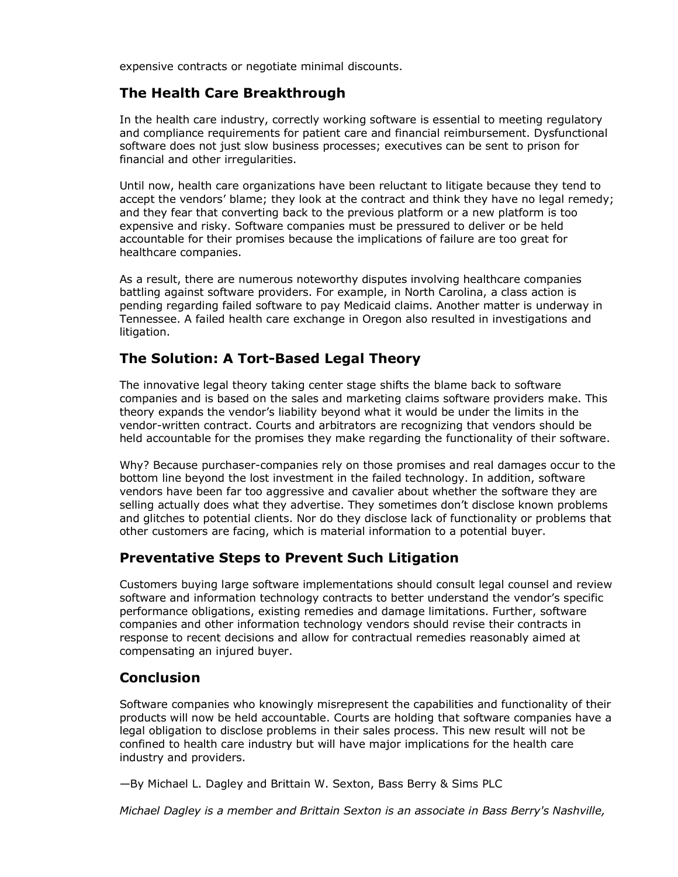expensive contracts or negotiate minimal discounts.

## **The Health Care Breakthrough**

In the health care industry, correctly working software is essential to meeting regulatory and compliance requirements for patient care and financial reimbursement. Dysfunctional software does not just slow business processes; executives can be sent to prison for financial and other irregularities.

Until now, health care organizations have been reluctant to litigate because they tend to accept the vendors' blame; they look at the contract and think they have no legal remedy; and they fear that converting back to the previous platform or a new platform is too expensive and risky. Software companies must be pressured to deliver or be held accountable for their promises because the implications of failure are too great for healthcare companies.

As a result, there are numerous noteworthy disputes involving healthcare companies battling against software providers. For example, in North Carolina, a class action is pending regarding failed software to pay Medicaid claims. Another matter is underway in Tennessee. A failed health care exchange in Oregon also resulted in investigations and litigation.

## **The Solution: A Tort-Based Legal Theory**

The innovative legal theory taking center stage shifts the blame back to software companies and is based on the sales and marketing claims software providers make. This theory expands the vendor's liability beyond what it would be under the limits in the vendor-written contract. Courts and arbitrators are recognizing that vendors should be held accountable for the promises they make regarding the functionality of their software.

Why? Because purchaser-companies rely on those promises and real damages occur to the bottom line beyond the lost investment in the failed technology. In addition, software vendors have been far too aggressive and cavalier about whether the software they are selling actually does what they advertise. They sometimes don't disclose known problems and glitches to potential clients. Nor do they disclose lack of functionality or problems that other customers are facing, which is material information to a potential buyer.

## **Preventative Steps to Prevent Such Litigation**

Customers buying large software implementations should consult legal counsel and review software and information technology contracts to better understand the vendor's specific performance obligations, existing remedies and damage limitations. Further, software companies and other information technology vendors should revise their contracts in response to recent decisions and allow for contractual remedies reasonably aimed at compensating an injured buyer.

## **Conclusion**

Software companies who knowingly misrepresent the capabilities and functionality of their products will now be held accountable. Courts are holding that software companies have a legal obligation to disclose problems in their sales process. This new result will not be confined to health care industry but will have major implications for the health care industry and providers.

—By Michael L. Dagley and Brittain W. Sexton, Bass Berry & Sims PLC

*Michael Dagley is a member and Brittain Sexton is an associate in Bass Berry's Nashville,*